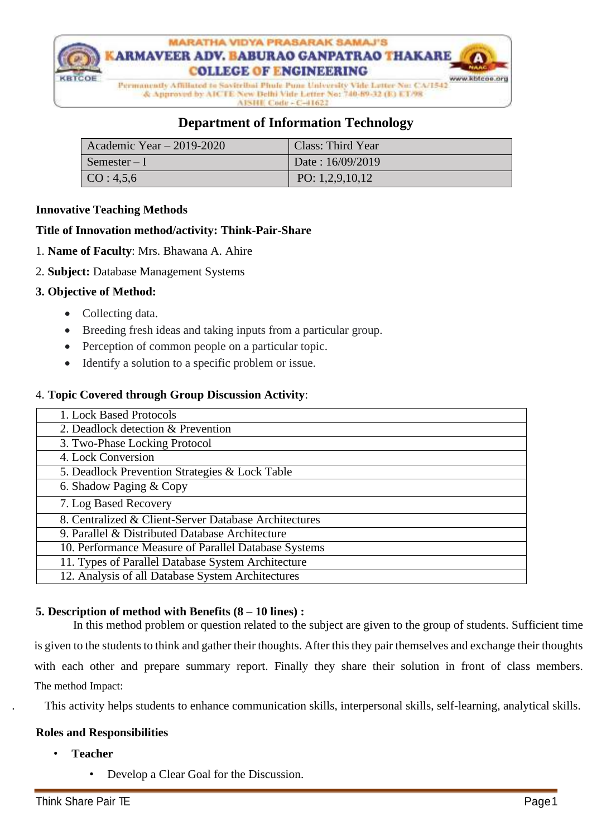

# **Department of Information Technology**

| Academic Year $-2019-2020$ | Class: Third Year |
|----------------------------|-------------------|
| Semester $-I$              | Date: 16/09/2019  |
| CO: 4,5,6                  | PO: $1,2,9,10,12$ |

## **Innovative Teaching Methods**

## **Title of Innovation method/activity: Think-Pair-Share**

- 1. **Name of Faculty**: Mrs. Bhawana A. Ahire
- 2. **Subject:** Database Management Systems

## **3. Objective of Method:**

- Collecting data.
- Breeding fresh ideas and taking inputs from a particular group.
- Perception of common people on a particular topic.
- Identify a solution to a specific problem or issue.

## 4. **Topic Covered through Group Discussion Activity**:

| 1. Lock Based Protocols                               |
|-------------------------------------------------------|
| 2. Deadlock detection & Prevention                    |
| 3. Two-Phase Locking Protocol                         |
| 4. Lock Conversion                                    |
| 5. Deadlock Prevention Strategies & Lock Table        |
| 6. Shadow Paging & Copy                               |
| 7. Log Based Recovery                                 |
| 8. Centralized & Client-Server Database Architectures |
| 9. Parallel & Distributed Database Architecture       |
| 10. Performance Measure of Parallel Database Systems  |
| 11. Types of Parallel Database System Architecture    |
| 12. Analysis of all Database System Architectures     |

## **5. Description of method with Benefits (8 – 10 lines) :**

 In this method problem or question related to the subject are given to the group of students. Sufficient time is given to the students to think and gather their thoughts. After this they pair themselves and exchange their thoughts with each other and prepare summary report. Finally they share their solution in front of class members. The method Impact:

. This activity helps students to enhance communication skills, interpersonal skills, self-learning, analytical skills.

#### **Roles and Responsibilities**

- **Teacher**
	- Develop a Clear Goal for the Discussion.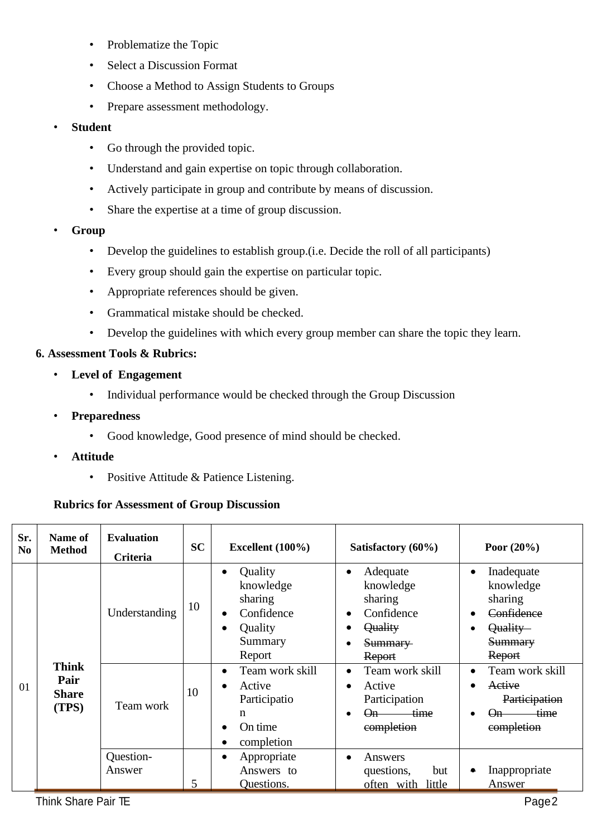- Problematize the Topic
- Select a Discussion Format
- Choose a Method to Assign Students to Groups
- Prepare assessment methodology.
- **Student**
	- Go through the provided topic.
	- Understand and gain expertise on topic through collaboration.
	- Actively participate in group and contribute by means of discussion.
	- Share the expertise at a time of group discussion.
- **Group**
	- Develop the guidelines to establish group. (i.e. Decide the roll of all participants)
	- Every group should gain the expertise on particular topic.
	- Appropriate references should be given.
	- Grammatical mistake should be checked.
	- Develop the guidelines with which every group member can share the topic they learn.

# **6. Assessment Tools & Rubrics:**

- **Level of Engagement**
	- Individual performance would be checked through the Group Discussion
- **Preparedness**
	- Good knowledge, Good presence of mind should be checked.
- **Attitude**
	- Positive Attitude & Patience Listening.

# **Rubrics for Assessment of Group Discussion**

| Sr.<br>N <sub>0</sub> | Name of<br><b>Method</b>      | <b>Evaluation</b><br><b>Criteria</b> | <b>SC</b> | Excellent $(100\%)$                                                               | Satisfactory (60%)                                                                               | Poor $(20\%)$                                                                                         |
|-----------------------|-------------------------------|--------------------------------------|-----------|-----------------------------------------------------------------------------------|--------------------------------------------------------------------------------------------------|-------------------------------------------------------------------------------------------------------|
|                       | <b>Think</b>                  | Understanding                        | 10        | Quality<br>knowledge<br>sharing<br>Confidence<br>Quality<br>Summary<br>Report     | Adequate<br>knowledge<br>sharing<br>Confidence<br><b>Quality</b><br><del>Summary</del><br>Report | Inadequate<br>$\bullet$<br>knowledge<br>sharing<br>Confidence<br>Quality-<br><b>Summary</b><br>Report |
| 01                    | Pair<br><b>Share</b><br>(TPS) | Team work                            | 10        | Team work skill<br>Active<br>Participatio<br>$\mathbf n$<br>On time<br>completion | Team work skill<br>Active<br>Participation<br>time.<br>$\Theta$ n $-$<br>completion              | Team work skill<br>Active<br>Participation<br><del>time</del><br><del>(Jn</del><br>completion         |
|                       |                               | Question-<br>Answer                  | 5         | Appropriate<br>Answers to<br><b>Ouestions.</b>                                    | Answers<br>questions,<br>but<br>often with little                                                | Inappropriate<br>۰<br>Answer                                                                          |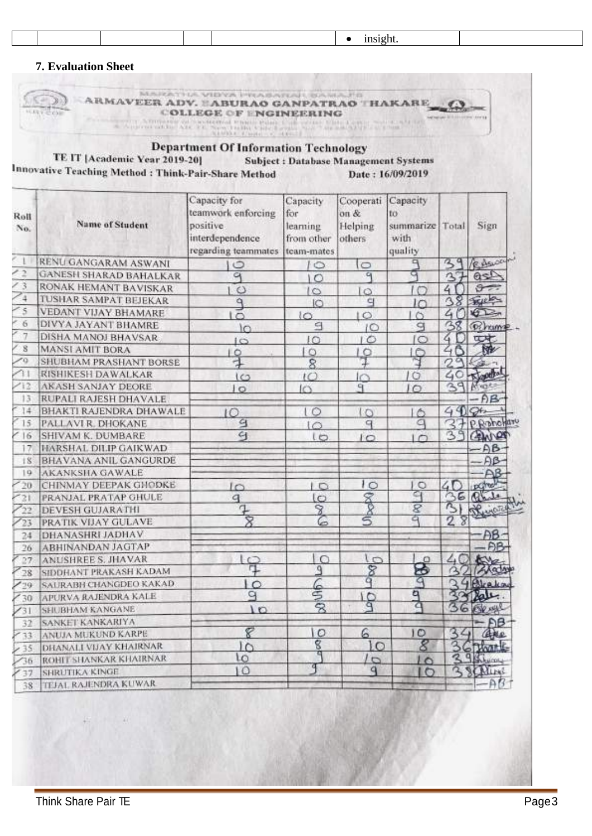# **7. Evaluation Sheet**

|                          | TE IT [Academic Year 2019-20]<br>Innovative Teaching Method : Think-Pair-Share Method | <b>Department Of Information Technology</b>                                               | <b>Subject: Database Management Systems</b>             |                                           | Date: 16/09/2019                                     |        |               |
|--------------------------|---------------------------------------------------------------------------------------|-------------------------------------------------------------------------------------------|---------------------------------------------------------|-------------------------------------------|------------------------------------------------------|--------|---------------|
| Roll<br>No.              | <b>Name of Student</b>                                                                | Capacity for<br>teamwork enforcing<br>positive.<br>interdependence<br>regarding teammates | Capacity<br>for<br>learning<br>from other<br>team-mates | Cooperati<br>on $\&$<br>Helping<br>others | Capacity<br>to<br>summarize Total<br>with<br>quality |        | Sign          |
|                          | RENU GANGARAM ASWANI                                                                  | $\circ$                                                                                   | $\circ$                                                 | $\circ$                                   |                                                      |        | B. Asuper     |
| $\overline{\phantom{a}}$ | <b>GANESH SHARAD BAHALKAR</b>                                                         | G                                                                                         | $\circ$                                                 | $\mathbf{q}$                              |                                                      | Α      | asp           |
| $\frac{3}{5}$            | RONAK HEMANT BAVISKAR                                                                 | $\circ$                                                                                   | 10                                                      | $\circ$                                   |                                                      | 4      |               |
| $\frac{1}{4}$            | <b>TUSHAR SAMPAT BEJEKAR</b>                                                          | ٩                                                                                         | 10                                                      | q                                         | IC                                                   |        | <b>VELLES</b> |
| $\sim$ 5                 | VEDANT VIJAY BHAMARE                                                                  | 3                                                                                         | $\overline{1}$                                          | $\circ$                                   | $\circ$                                              | 4      | <b>KILL</b>   |
| 6                        | DIVYA JAYANT BHAMRE                                                                   | ìn                                                                                        | ₹                                                       | ΙO                                        | q                                                    |        | 38 Persone.   |
| $\overline{7}$           | DISHA MANOJ BHAVSAR                                                                   | IО                                                                                        | 10                                                      | IÓ                                        | lo                                                   | 4.     | <b>U.A</b>    |
| g                        | <b>MANSI AMIT BORA</b>                                                                | $\circ$                                                                                   | 10                                                      | f                                         | 10                                                   |        |               |
| 50                       | SHUBHAM PRASHANT BORSE                                                                |                                                                                           | 8                                                       |                                           | Ħ                                                    |        |               |
| 71                       | <b>RISHIKESH DAWALKAR</b>                                                             | 163                                                                                       | $1^\circ$                                               | lo                                        | 10                                                   | 40     |               |
| 112                      | <b>AKASH SANJAY DEORE</b>                                                             | $\circ$                                                                                   | ICS.                                                    | ٩                                         | JО                                                   | 39     | <b>YESSE</b>  |
| 13                       | RUPALI RAJESH DHAVALE                                                                 |                                                                                           |                                                         |                                           |                                                      |        | AB            |
| 14                       | BHAKTI RAJENDRA DHAWALE                                                               | 10                                                                                        | $\circ$                                                 | 10                                        | $\circ$                                              | 49006  |               |
| 15                       | PALLAVI R. DHOKANE                                                                    | g                                                                                         | $1^\circ$                                               | q                                         | q                                                    |        | P. Rohollaro  |
| 16                       | SHIVAM K. DUMBARE                                                                     | $\epsilon_1$                                                                              | lo                                                      | 10                                        | $\sqrt{2}$                                           | З      |               |
| 17                       | HARSHAL DILIP GAIKWAD                                                                 |                                                                                           |                                                         |                                           |                                                      |        |               |
| 18                       | BHAVANA ANIL GANGURDE                                                                 |                                                                                           |                                                         |                                           |                                                      |        |               |
| 19                       | <b>AKANKSHA GAWALE</b>                                                                |                                                                                           |                                                         |                                           |                                                      |        |               |
| 20                       | CHINMAY DEEPAK GHODKE                                                                 | $\sqrt{2}$                                                                                | LО                                                      | łΟ                                        | IО                                                   | 4Г     |               |
| '21                      | PRANJAL PRATAP GHULE                                                                  | $\mathbf{q}$                                                                              | lo                                                      |                                           | ౖు                                                   |        |               |
| $^{22}$                  | <b>DEVESH GUJARATHI</b>                                                               | ₽                                                                                         | 8                                                       |                                           | 8                                                    |        |               |
| 23                       | PRATIK VIJAY GULAVE                                                                   | 8                                                                                         | 6                                                       | S                                         |                                                      | 28     |               |
| 24                       | DHANASHRI JADHAV                                                                      |                                                                                           |                                                         |                                           |                                                      |        | AB            |
| 26                       | ABHINANDAN JAGTAP                                                                     |                                                                                           |                                                         |                                           |                                                      |        | <b>AB</b>     |
| 27                       | ANUSHREE S. JHAVAR                                                                    | 早                                                                                         | C                                                       | $\circ$                                   | ο                                                    | 40     |               |
| 28                       | SIDDHANT PRAKASH KADAM                                                                |                                                                                           | ٩                                                       | $\frac{8}{9}$                             | ş                                                    |        | Alady         |
| Z29                      | SAURABH CHANGDEO KAKAD                                                                | $\circ$                                                                                   | 66                                                      |                                           |                                                      |        | Araka         |
| 30                       | <b>APURVA RAJENDRA KALE</b>                                                           | q                                                                                         |                                                         | der                                       | ۹                                                    |        |               |
| 731                      | SHUBHAM KANGANE                                                                       | 10                                                                                        | 8                                                       |                                           | a                                                    | ß<br>6 | ERRY          |
| 32                       | SANKET KANKARIYA                                                                      |                                                                                           |                                                         |                                           |                                                      |        | Đβ.           |
| $Y$ 33                   | ANUJA MUKUND KARPE                                                                    | 8                                                                                         | 10                                                      | 6                                         | 10                                                   | 36     | 住就业           |
| 235                      | DHANALI VIJAY KHAJRNAR                                                                | IО                                                                                        | g                                                       | LO                                        | 8                                                    |        |               |
| 756                      | ROHIT SHANKAR KHAIRNAR                                                                | ιo                                                                                        | ন                                                       | 10                                        | I٥                                                   |        | 391001        |
|                          | SHRUTIKA KINGE                                                                        | 10                                                                                        | T                                                       | $\mathbf{q}$                              | $\circ$                                              | α      | SCHLINE       |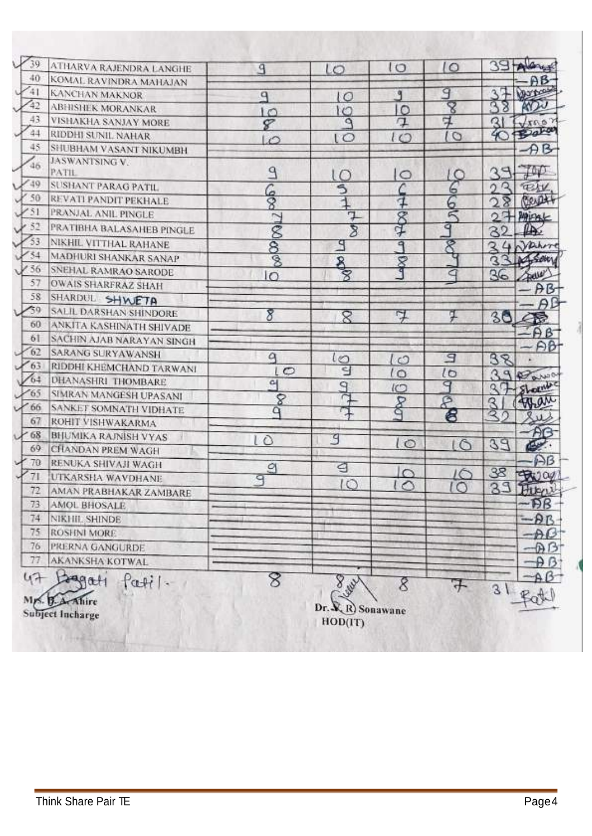| $\mathcal{V}$<br>39 | ATHARVA RAJENDRA LANGHE                        | 9              | ιo                                     | $\circ$       | $\circ$             |               | alany           |
|---------------------|------------------------------------------------|----------------|----------------------------------------|---------------|---------------------|---------------|-----------------|
| 40                  | KOMAL RAVINDRA MAHAJAN                         |                |                                        |               |                     |               | AB-             |
| $\sqrt{41}$         | <b>KANCHAN MAKNOR</b>                          | $\mathbf{q}$   | lΟ                                     | ۹             | 9                   | 32            | <b>Obstract</b> |
| $\frac{1}{42}$      | <b>ABHISHEK MORANKAR</b>                       | ١O             | ΙO                                     | 10            | 8                   |               | AYOU            |
| 43                  | VISHAKHA SANJAY MORE                           | 8              | ۹                                      | ₽             | 4                   | Q             | $\sqrt{x}$ 63   |
| 44                  | RIDDHI SUNIL NAHAR                             | $\mathcal{L}$  | ιO                                     | 10            | $\circ$             | 40            | Bara            |
| 45                  | SHUBHAM VASANT NIKUMBH                         |                |                                        |               |                     |               | AB              |
| 46                  | JASWANTSING V.<br>PATIL                        | ٩              | $\circ$                                | $\circ$       | l C                 | ąΦ            | ŢΦ              |
| $V^{49}$            | SUSHANT PARAG PATIL                            |                | 5                                      |               | 6                   | Ω<br>Ω        | <b>TEAM</b>     |
| X 50                | REVATI PANDIT PEKHALE                          | နေ             | $\overline{1}$                         | 7             | 6                   | 28            | Bespt           |
| $V_{51}$            | PRANJAL ANIL PINGLE                            |                | Ţ                                      |               | 冈                   |               | $27$ Minut      |
| $V$ 52              | PRATIBHA BALASAHEB PINGLE                      | 7180           | 8                                      | $\frac{8}{3}$ | 9                   | $\mathbf{32}$ | $\mathbb{R}$    |
| $\frac{753}{3}$     | NIKHIL VITTHAL RAHANE                          |                | 9                                      | ٩             | 8                   | Q             | 4 Jahr          |
| $V$ 54              | MADHURI SHANKAR SANAP                          | $\frac{8}{8}$  |                                        |               |                     |               | 33 M SON        |
| $\sqrt{56}$         | SNEHAL RAMRAO SARODE                           | 10             | <b>B</b>                               | <b>Seb</b>    | $\subseteq$         | 36            | <b>FREUE</b>    |
| 57                  | <b>OWAIS SHARFRAZ SHAH</b>                     |                |                                        |               |                     |               | - AB            |
| 58                  | SHARDUL SHWETA                                 |                |                                        |               |                     |               |                 |
| $\mathcal{L}^{39}$  | SALIL DARSHAN SHINDORE                         | 8              | 8                                      | F             | Ŧ                   | 30            |                 |
| 60                  | ANKITA KASHINATH SHIVADE                       |                |                                        |               |                     |               | 43              |
| 6I                  | SACHIN AJAB NARAYAN SINGH                      |                |                                        |               |                     |               | $A B^-$         |
| $\frac{62}{62}$     | SARANG SURYAWANSH                              | q              |                                        |               | 9                   |               | Aβ              |
| $\sqrt{63}$         | RIDDHI KHEMCHAND TARWANI                       | $\overline{C}$ | ເຕ<br>릴                                | l O           |                     | 38            |                 |
| 164                 | <b>DHANASHRI THOMBARE</b>                      | 어              |                                        | lο            | $\overline{6}$<br>9 | 39            | Bar 0           |
| $\times 65$         | SIMRAN MANGESH UPASANI                         | 8              | olc                                    | IC            |                     |               | Lomb            |
| $\sqrt{66}$         | SANKET SOMNATH VIDHATE                         | a              | π                                      | <b>BR</b>     | È,                  | R             | Than            |
| 67                  | ROHIT VISHWAKARMA                              |                |                                        |               | 8                   | RC            |                 |
| $+68$               | <b>BHUMIKA RAJNISH VYAS</b>                    | $\circ$        | 9                                      |               |                     |               |                 |
| 69                  | <b>CHANDAN PREM WAGH</b>                       |                |                                        | $\circ$       | LG                  | 39            | وليكا           |
| 70                  | RENUKA SHIVAJI WAGH                            | ₫              | ্ৰ                                     |               |                     |               | Aß              |
| 71                  | UTKARSHA WAVDHANE                              | 9              |                                        | $\circ$       | 16                  | 38            | <b>BRJ04</b>    |
| 72                  | AMAN PRABHAKAR ZAMBARE                         |                | $\circ$                                | ○             | $\circ$             | 33            | Hugar           |
| 73                  | <b>AMOL BHOSALE</b>                            |                |                                        |               |                     |               | -PB             |
| 74                  | NIKHIL SHINDE                                  |                |                                        |               |                     |               | $-BB$           |
| 75                  | <b>ROSHNI MORE</b>                             |                |                                        |               |                     |               | -DC             |
| 76                  | PRERNA GANGURDE                                |                |                                        |               |                     |               | -67             |
| 77                  | AKANKSHA KOTWAL                                |                |                                        |               |                     |               | $\n  B$ $\n  B$ |
| 47                  | Lagati                                         | 8              |                                        |               |                     |               | -A (            |
|                     | fatil.<br>Mrs. B. A. Ahire<br>Subject Incharge |                | 8 july<br>Dr. X, R) Sonawane<br>HOD(T) | 8             | ᠯ                   | 31            |                 |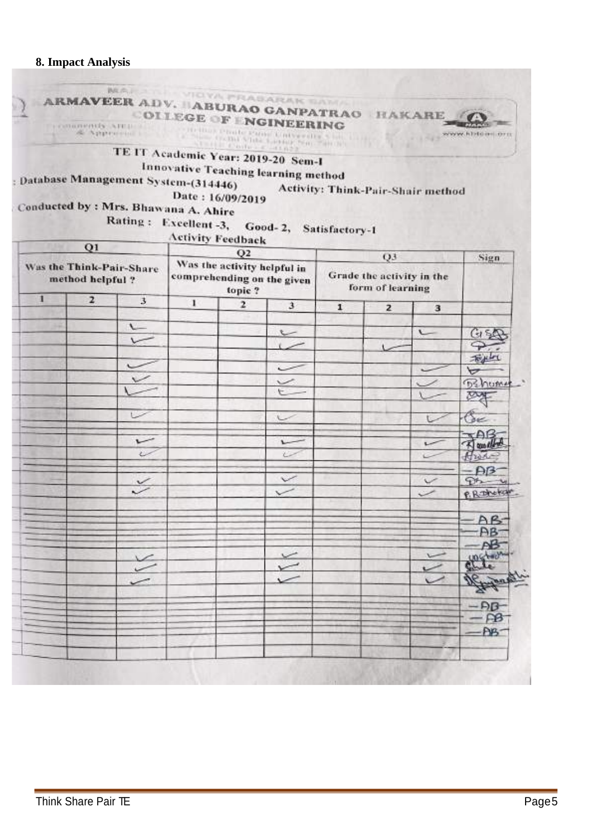# **8. Impact Analysis**

|                        | Activity: Think-Pair-Shair method |                                               |              | COLLEGE OF <i>NGINEERING</i><br>TE IT Academic Year: 2019-20 Sem-I<br>Innovative Teaching learning method<br>Rating: Excellent-3, Good-2, Satisfactory-1 | ATTILE Context -41822                 | Date: 16/09/2019<br><b>Activity Feedback</b> | ARMAVEER ADV. HABURAO GANPATRAO HAKARE<br>Approvement of the contract of the contract of the contract of the contract of the contract of the contract of the contract of the contract of the contract of the contract of the contract of the contract of the contract of<br>Database Management System-(314446)<br>Conducted by : Mrs. Bhawana A. Ahire |                  |   |
|------------------------|-----------------------------------|-----------------------------------------------|--------------|----------------------------------------------------------------------------------------------------------------------------------------------------------|---------------------------------------|----------------------------------------------|---------------------------------------------------------------------------------------------------------------------------------------------------------------------------------------------------------------------------------------------------------------------------------------------------------------------------------------------------------|------------------|---|
| Sign                   |                                   | Q3                                            |              |                                                                                                                                                          | Q2                                    |                                              |                                                                                                                                                                                                                                                                                                                                                         | Q1               |   |
|                        |                                   | Grade the activity in the<br>form of learning |              | comprehending on the given                                                                                                                               | Was the activity helpful in<br>topic? |                                              | Was the Think-Pair-Share                                                                                                                                                                                                                                                                                                                                | method helpful ? |   |
|                        | 3                                 | $\overline{z}$                                | $\mathbf{1}$ | $\mathbf{3}$                                                                                                                                             | $\mathbf{z}$                          | $\bf{I}$                                     | $\mathbf{3}$                                                                                                                                                                                                                                                                                                                                            | $\overline{2}$   | 1 |
|                        |                                   |                                               |              |                                                                                                                                                          |                                       |                                              | $\sim$                                                                                                                                                                                                                                                                                                                                                  |                  |   |
| (ડા દર્દી              | $\sqrt{}$                         |                                               |              | L                                                                                                                                                        |                                       |                                              |                                                                                                                                                                                                                                                                                                                                                         |                  |   |
|                        |                                   | Ł.                                            |              |                                                                                                                                                          |                                       |                                              |                                                                                                                                                                                                                                                                                                                                                         |                  |   |
| Fight<br>∀             |                                   |                                               |              | $\tilde{}$                                                                                                                                               |                                       |                                              |                                                                                                                                                                                                                                                                                                                                                         |                  |   |
| <b>B</b> shuma         |                                   |                                               |              |                                                                                                                                                          |                                       |                                              |                                                                                                                                                                                                                                                                                                                                                         |                  |   |
| <b>DAT</b>             |                                   |                                               |              |                                                                                                                                                          |                                       |                                              |                                                                                                                                                                                                                                                                                                                                                         |                  |   |
|                        |                                   |                                               |              |                                                                                                                                                          |                                       |                                              |                                                                                                                                                                                                                                                                                                                                                         |                  |   |
| Coc.                   |                                   |                                               |              | $\sim$                                                                                                                                                   |                                       |                                              |                                                                                                                                                                                                                                                                                                                                                         |                  |   |
| $\neg AB$              |                                   |                                               |              | $\overline{ }$                                                                                                                                           |                                       |                                              | س                                                                                                                                                                                                                                                                                                                                                       |                  |   |
| A multip<br>Ant        |                                   |                                               |              | ر                                                                                                                                                        |                                       |                                              | $\sim$                                                                                                                                                                                                                                                                                                                                                  |                  |   |
| $\mathsf{AB}$          |                                   |                                               |              |                                                                                                                                                          |                                       |                                              |                                                                                                                                                                                                                                                                                                                                                         |                  |   |
| Pt                     | v                                 |                                               |              | $\checkmark$                                                                                                                                             |                                       |                                              | $\checkmark$                                                                                                                                                                                                                                                                                                                                            |                  |   |
| P. R. The Kill         | $\checkmark$                      |                                               |              | $\checkmark$                                                                                                                                             |                                       |                                              | v                                                                                                                                                                                                                                                                                                                                                       |                  |   |
|                        |                                   |                                               |              |                                                                                                                                                          |                                       |                                              |                                                                                                                                                                                                                                                                                                                                                         |                  |   |
| $-AB$                  |                                   |                                               |              |                                                                                                                                                          |                                       |                                              |                                                                                                                                                                                                                                                                                                                                                         |                  |   |
|                        |                                   |                                               |              |                                                                                                                                                          |                                       |                                              |                                                                                                                                                                                                                                                                                                                                                         |                  |   |
|                        |                                   |                                               |              | $\lt$                                                                                                                                                    |                                       |                                              |                                                                                                                                                                                                                                                                                                                                                         |                  |   |
|                        |                                   |                                               |              | V                                                                                                                                                        |                                       |                                              |                                                                                                                                                                                                                                                                                                                                                         |                  |   |
| REAL PROP              |                                   |                                               |              |                                                                                                                                                          |                                       |                                              |                                                                                                                                                                                                                                                                                                                                                         |                  |   |
|                        |                                   |                                               |              |                                                                                                                                                          |                                       |                                              |                                                                                                                                                                                                                                                                                                                                                         |                  |   |
| $\frac{-\beta}{\beta}$ |                                   |                                               |              |                                                                                                                                                          |                                       |                                              |                                                                                                                                                                                                                                                                                                                                                         |                  |   |
| $-PB$                  |                                   |                                               |              |                                                                                                                                                          |                                       |                                              |                                                                                                                                                                                                                                                                                                                                                         |                  |   |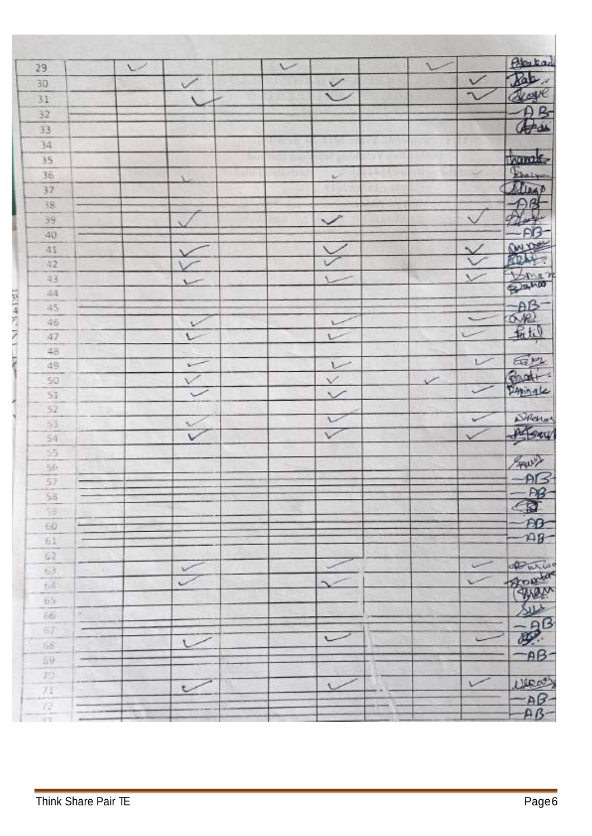| 29              | ◡ |                    | $\sqrt{}$ |                      | r            |               | Blackad                     |
|-----------------|---|--------------------|-----------|----------------------|--------------|---------------|-----------------------------|
| 30              |   | $\checkmark$       |           | $\leq$               |              | $\frac{1}{2}$ | Rale                        |
| 31              |   | $\sqrt{}$          |           |                      |              |               |                             |
| 32              |   |                    |           |                      |              |               | B                           |
| 33              |   |                    |           |                      |              |               | $\frac{\theta B}{\theta A}$ |
| 34              |   |                    |           |                      |              |               |                             |
| 35              |   |                    |           |                      |              |               |                             |
| 36              |   | $\mathcal{N}$      |           | $\omega$             |              | $\omega$      | thamede                     |
| 37              |   |                    |           |                      |              |               |                             |
| 38              |   |                    |           |                      |              |               | $\mathcal{P}^{\mathcal{B}}$ |
| 39              |   |                    |           | $\checkmark$         |              |               |                             |
| 40              |   |                    |           |                      |              |               | <b>FIB</b>                  |
| 41              |   |                    |           |                      |              |               |                             |
| 42              |   |                    |           |                      |              | $\frac{1}{2}$ | 82                          |
| 43              |   | i                  |           |                      |              |               |                             |
| $\approx 4$     |   |                    |           |                      |              |               | Bano                        |
| 45              |   |                    |           |                      |              |               |                             |
| 46              |   | $\mathcal V$       |           |                      |              | $\star$       |                             |
| 47              |   |                    |           | L                    |              |               | 一般                          |
| 48              |   |                    |           |                      |              |               |                             |
| 49              |   | $\sqrt{ }$         |           |                      |              | $\sim$        |                             |
| 50              |   | V.                 |           |                      | $\checkmark$ |               | Faire<br>Pand+              |
| $^{51}$         |   | $\check{~}$        |           | $\frac{1}{\sqrt{2}}$ |              |               |                             |
| $5\overline{2}$ |   |                    |           |                      |              |               |                             |
| 53              |   |                    |           | v                    |              |               | Samo                        |
| 54              |   | $\hat{\mathbf{v}}$ |           | $\checkmark$         |              |               |                             |
| 55              |   |                    |           |                      |              |               |                             |
| 56              |   |                    |           |                      |              |               | Frant ?                     |
| 57              |   |                    |           |                      |              |               |                             |
| 56              |   |                    |           |                      |              |               |                             |
| 59              |   |                    |           |                      |              |               |                             |
| 60              |   |                    |           |                      |              |               |                             |
| 61              |   |                    |           |                      |              |               |                             |
| $62\,$          |   |                    |           |                      |              |               |                             |
| 63              |   | $\checkmark$       |           |                      |              |               |                             |
| 64              |   |                    |           |                      |              |               | <b>POLUT</b>                |
| 65              |   |                    |           |                      |              |               |                             |
| 56<br>×         |   |                    |           |                      |              |               |                             |
| GZ.             |   |                    |           |                      |              |               | $\mathcal{F}$               |
| 68              |   |                    |           |                      |              |               |                             |
| 69              |   |                    |           |                      |              |               | $-BB -$                     |
| $70^{\circ}$    |   |                    |           |                      |              |               |                             |
| $71\,$          |   | V                  |           | U                    |              |               | Ulpart)                     |
| $\chi_2$        |   |                    |           |                      |              |               | $-AB-AB-AB$                 |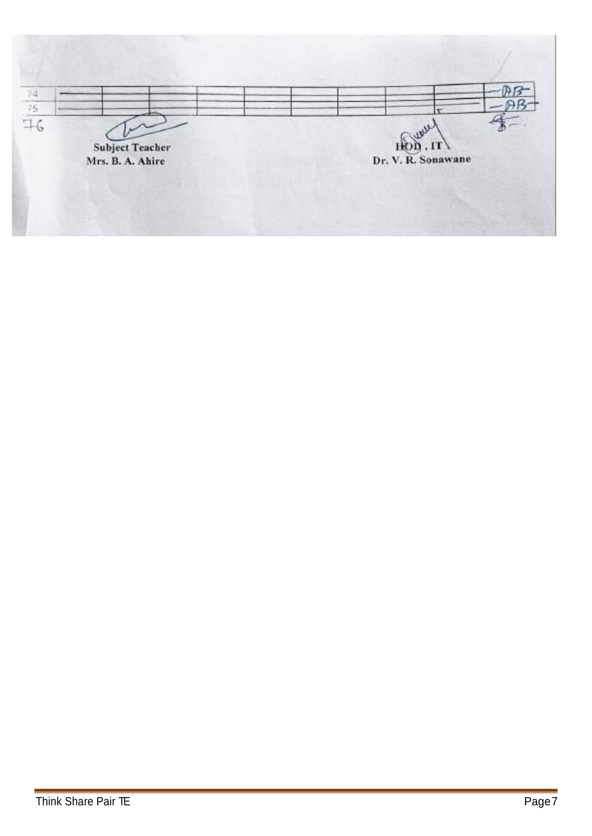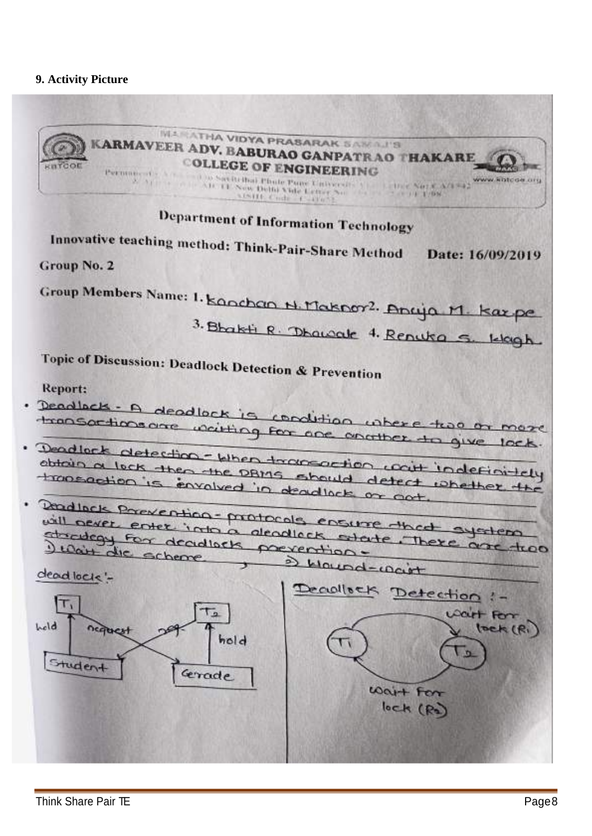# 9. Activity Picture